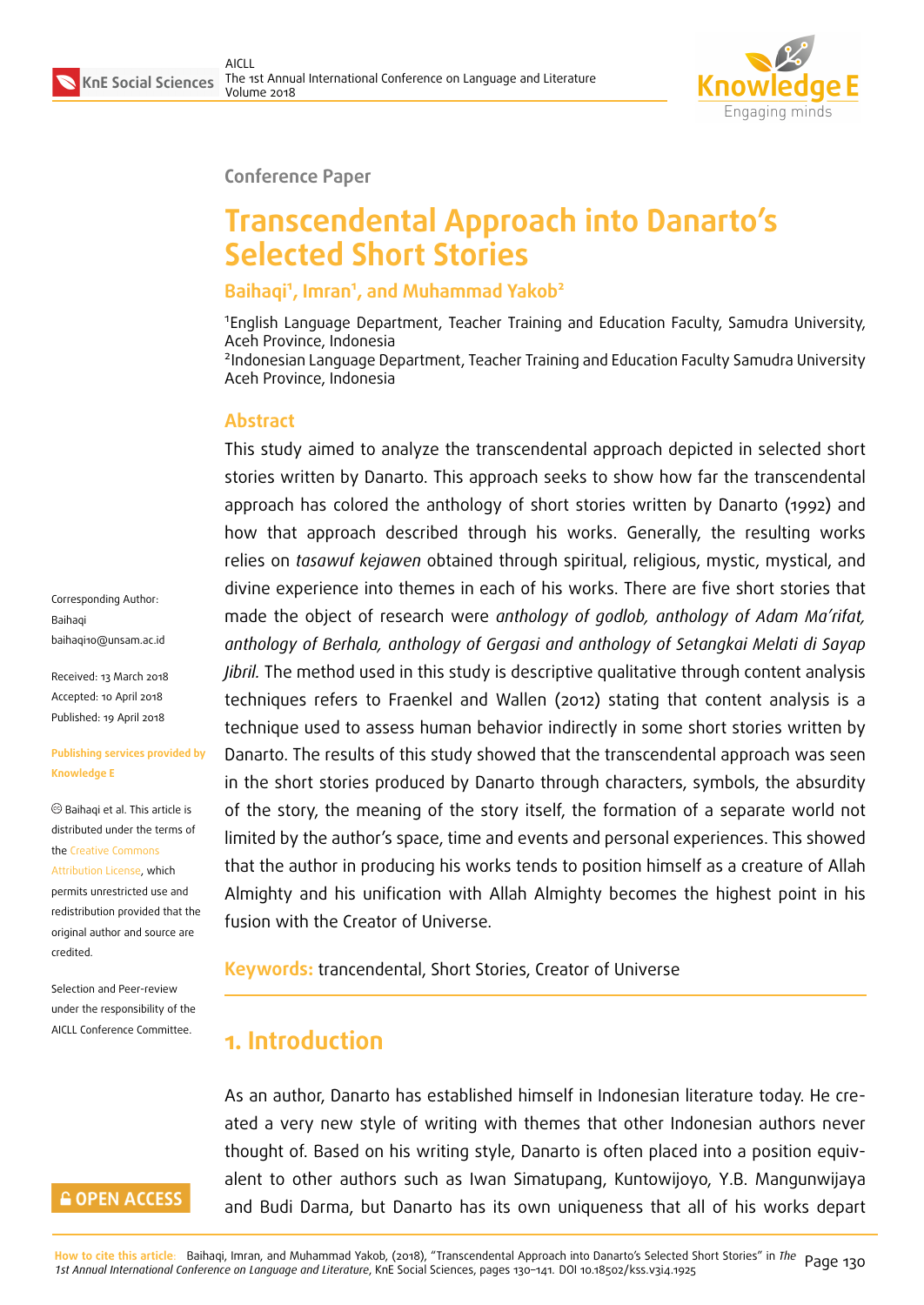

#### **Conference Paper**

# **Transcendental Approach into Danarto's Selected Short Stories**

#### **Baihaqi<sup>1</sup> , Imran<sup>1</sup> , and Muhammad Yakob<sup>2</sup>**

<sup>1</sup>English Language Department, Teacher Training and Education Faculty, Samudra University, Aceh Province, Indonesia 2 Indonesian Language Department, Teacher Training and Education Faculty Samudra University Aceh Province, Indonesia

#### **Abstract**

This study aimed to analyze the transcendental approach depicted in selected short stories written by Danarto. This approach seeks to show how far the transcendental approach has colored the anthology of short stories written by Danarto (1992) and how that approach described through his works. Generally, the resulting works relies on *tasawuf kejawen* obtained through spiritual, religious, mystic, mystical, and divine experience into themes in each of his works. There are five short stories that made the object of research were *anthology of godlob, anthology of Adam Ma'rifat, anthology of Berhala, anthology of Gergasi and anthology of Setangkai Melati di Sayap Jibril.* The method used in this study is descriptive qualitative through content analysis techniques refers to Fraenkel and Wallen (2012) stating that content analysis is a technique used to assess human behavior indirectly in some short stories written by Danarto. The results of this study showed that the transcendental approach was seen in the short stories produced by Danarto through characters, symbols, the absurdity of the story, the meaning of the story itself, the formation of a separate world not limited by the author's space, time and events and personal experiences. This showed that the author in producing his works tends to position himself as a creature of Allah Almighty and his unification with Allah Almighty becomes the highest point in his fusion with the Creator of Universe.

**Keywords:** trancendental, Short Stories, Creator of Universe

# **1. Introduction**

As an author, Danarto has established himself in Indonesian literature today. He created a very new style of writing with themes that other Indonesian authors never thought of. Based on his writing style, Danarto is often placed into a position equivalent to other authors such as Iwan Simatupang, Kuntowijoyo, Y.B. Mangunwijaya and Budi Darma, but Danarto has its own uniqueness that all of his works depart

Corresponding Author: Baihaqi baihaqi10@unsam.ac.id

Received: 13 March 2018 Accepted: 10 April 2018 [Published: 19 April 2018](mailto:baihaqi10@unsam.ac.id)

#### **Publishing services provided by Knowledge E**

Baihaqi et al. This article is distributed under the terms of the Creative Commons Attribution License, which permits unrestricted use and redistribution provided that the ori[ginal author and sou](https://creativecommons.org/licenses/by/4.0/)rce are [credited.](https://creativecommons.org/licenses/by/4.0/)

Selection and Peer-review under the responsibility of the AICLL Conference Committee.

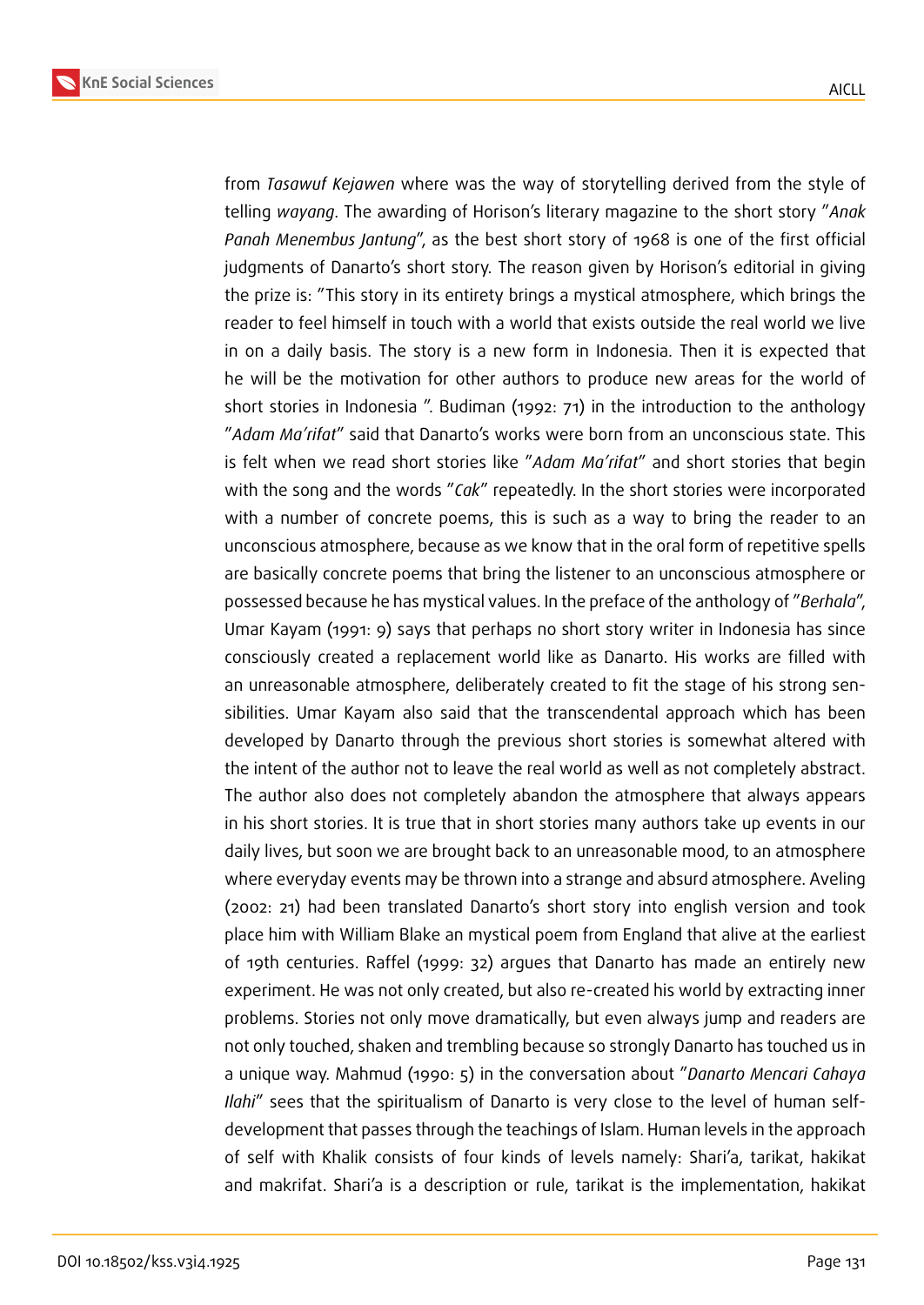



from *Tasawuf Kejawen* where was the way of storytelling derived from the style of telling *wayang*. The awarding of Horison's literary magazine to the short story "*Anak Panah Menembus Jantung*", as the best short story of 1968 is one of the first official judgments of Danarto's short story. The reason given by Horison's editorial in giving the prize is: "This story in its entirety brings a mystical atmosphere, which brings the reader to feel himself in touch with a world that exists outside the real world we live in on a daily basis. The story is a new form in Indonesia. Then it is expected that he will be the motivation for other authors to produce new areas for the world of short stories in Indonesia ". Budiman (1992: 71) in the introduction to the anthology "*Adam Ma'rifat*" said that Danarto's works were born from an unconscious state. This is felt when we read short stories like "*Adam Ma'rifat*" and short stories that begin with the song and the words "*Cak*" repeatedly. In the short stories were incorporated with a number of concrete poems, this is such as a way to bring the reader to an unconscious atmosphere, because as we know that in the oral form of repetitive spells are basically concrete poems that bring the listener to an unconscious atmosphere or possessed because he has mystical values. In the preface of the anthology of "*Berhala*", Umar Kayam (1991: 9) says that perhaps no short story writer in Indonesia has since consciously created a replacement world like as Danarto. His works are filled with an unreasonable atmosphere, deliberately created to fit the stage of his strong sensibilities. Umar Kayam also said that the transcendental approach which has been developed by Danarto through the previous short stories is somewhat altered with the intent of the author not to leave the real world as well as not completely abstract. The author also does not completely abandon the atmosphere that always appears in his short stories. It is true that in short stories many authors take up events in our daily lives, but soon we are brought back to an unreasonable mood, to an atmosphere where everyday events may be thrown into a strange and absurd atmosphere. Aveling (2002: 21) had been translated Danarto's short story into english version and took place him with William Blake an mystical poem from England that alive at the earliest of 19th centuries. Raffel (1999: 32) argues that Danarto has made an entirely new experiment. He was not only created, but also re-created his world by extracting inner problems. Stories not only move dramatically, but even always jump and readers are not only touched, shaken and trembling because so strongly Danarto has touched us in a unique way. Mahmud (1990: 5) in the conversation about "*Danarto Mencari Cahaya Ilahi*" sees that the spiritualism of Danarto is very close to the level of human selfdevelopment that passes through the teachings of Islam. Human levels in the approach of self with Khalik consists of four kinds of levels namely: Shari'a, tarikat, hakikat and makrifat. Shari'a is a description or rule, tarikat is the implementation, hakikat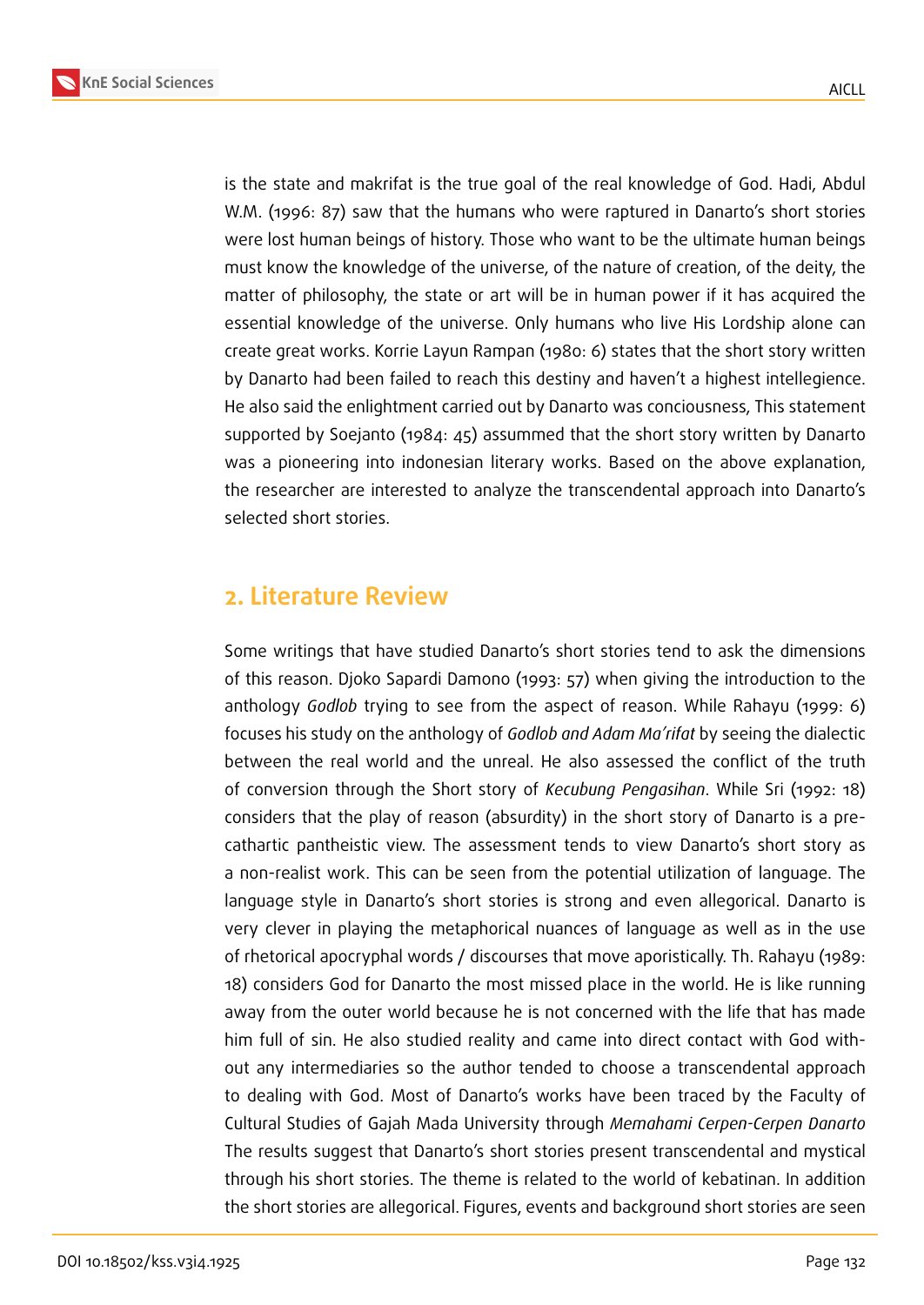

is the state and makrifat is the true goal of the real knowledge of God. Hadi, Abdul W.M. (1996: 87) saw that the humans who were raptured in Danarto's short stories were lost human beings of history. Those who want to be the ultimate human beings must know the knowledge of the universe, of the nature of creation, of the deity, the matter of philosophy, the state or art will be in human power if it has acquired the essential knowledge of the universe. Only humans who live His Lordship alone can create great works. Korrie Layun Rampan (1980: 6) states that the short story written by Danarto had been failed to reach this destiny and haven't a highest intellegience. He also said the enlightment carried out by Danarto was conciousness, This statement supported by Soejanto (1984: 45) assummed that the short story written by Danarto was a pioneering into indonesian literary works. Based on the above explanation, the researcher are interested to analyze the transcendental approach into Danarto's selected short stories.

### **2. Literature Review**

Some writings that have studied Danarto's short stories tend to ask the dimensions of this reason. Djoko Sapardi Damono (1993: 57) when giving the introduction to the anthology *Godlob* trying to see from the aspect of reason. While Rahayu (1999: 6) focuses his study on the anthology of *Godlob and Adam Ma'rifat* by seeing the dialectic between the real world and the unreal. He also assessed the conflict of the truth of conversion through the Short story of *Kecubung Pengasihan*. While Sri (1992: 18) considers that the play of reason (absurdity) in the short story of Danarto is a precathartic pantheistic view. The assessment tends to view Danarto's short story as a non-realist work. This can be seen from the potential utilization of language. The language style in Danarto's short stories is strong and even allegorical. Danarto is very clever in playing the metaphorical nuances of language as well as in the use of rhetorical apocryphal words / discourses that move aporistically. Th. Rahayu (1989: 18) considers God for Danarto the most missed place in the world. He is like running away from the outer world because he is not concerned with the life that has made him full of sin. He also studied reality and came into direct contact with God without any intermediaries so the author tended to choose a transcendental approach to dealing with God. Most of Danarto's works have been traced by the Faculty of Cultural Studies of Gajah Mada University through *Memahami Cerpen-Cerpen Danarto* The results suggest that Danarto's short stories present transcendental and mystical through his short stories. The theme is related to the world of kebatinan. In addition the short stories are allegorical. Figures, events and background short stories are seen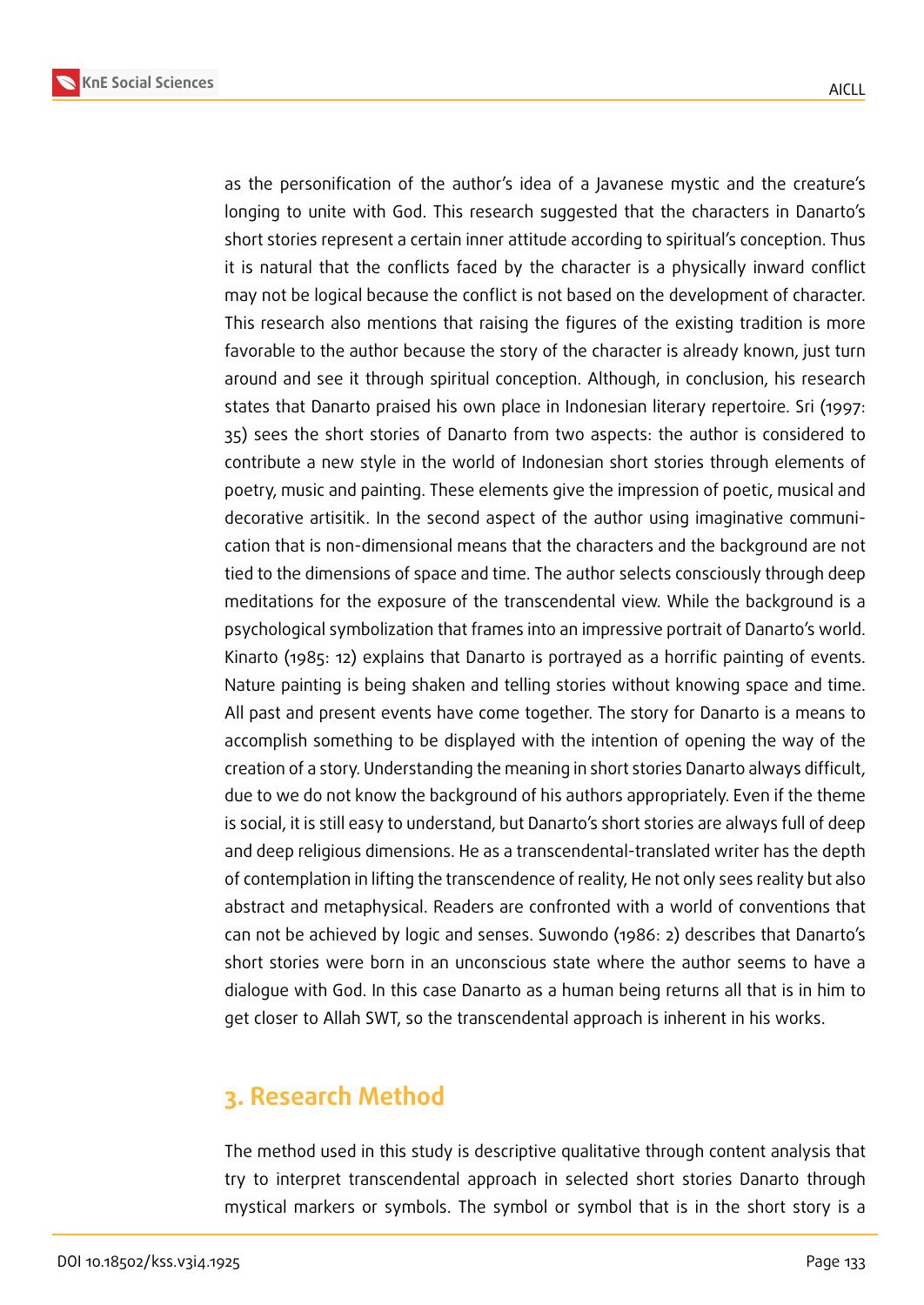**KnE Social Sciences**

as the personification of the author's idea of a Javanese mystic and the creature's longing to unite with God. This research suggested that the characters in Danarto's short stories represent a certain inner attitude according to spiritual's conception. Thus it is natural that the conflicts faced by the character is a physically inward conflict may not be logical because the conflict is not based on the development of character. This research also mentions that raising the figures of the existing tradition is more favorable to the author because the story of the character is already known, just turn around and see it through spiritual conception. Although, in conclusion, his research states that Danarto praised his own place in Indonesian literary repertoire. Sri (1997: 35) sees the short stories of Danarto from two aspects: the author is considered to contribute a new style in the world of Indonesian short stories through elements of poetry, music and painting. These elements give the impression of poetic, musical and decorative artisitik. In the second aspect of the author using imaginative communication that is non-dimensional means that the characters and the background are not tied to the dimensions of space and time. The author selects consciously through deep meditations for the exposure of the transcendental view. While the background is a psychological symbolization that frames into an impressive portrait of Danarto's world. Kinarto (1985: 12) explains that Danarto is portrayed as a horrific painting of events. Nature painting is being shaken and telling stories without knowing space and time. All past and present events have come together. The story for Danarto is a means to accomplish something to be displayed with the intention of opening the way of the creation of a story. Understanding the meaning in short stories Danarto always difficult, due to we do not know the background of his authors appropriately. Even if the theme is social, it is still easy to understand, but Danarto's short stories are always full of deep and deep religious dimensions. He as a transcendental-translated writer has the depth of contemplation in lifting the transcendence of reality, He not only sees reality but also abstract and metaphysical. Readers are confronted with a world of conventions that can not be achieved by logic and senses. Suwondo (1986: 2) describes that Danarto's short stories were born in an unconscious state where the author seems to have a dialogue with God. In this case Danarto as a human being returns all that is in him to get closer to Allah SWT, so the transcendental approach is inherent in his works.

### **3. Research Method**

The method used in this study is descriptive qualitative through content analysis that try to interpret transcendental approach in selected short stories Danarto through mystical markers or symbols. The symbol or symbol that is in the short story is a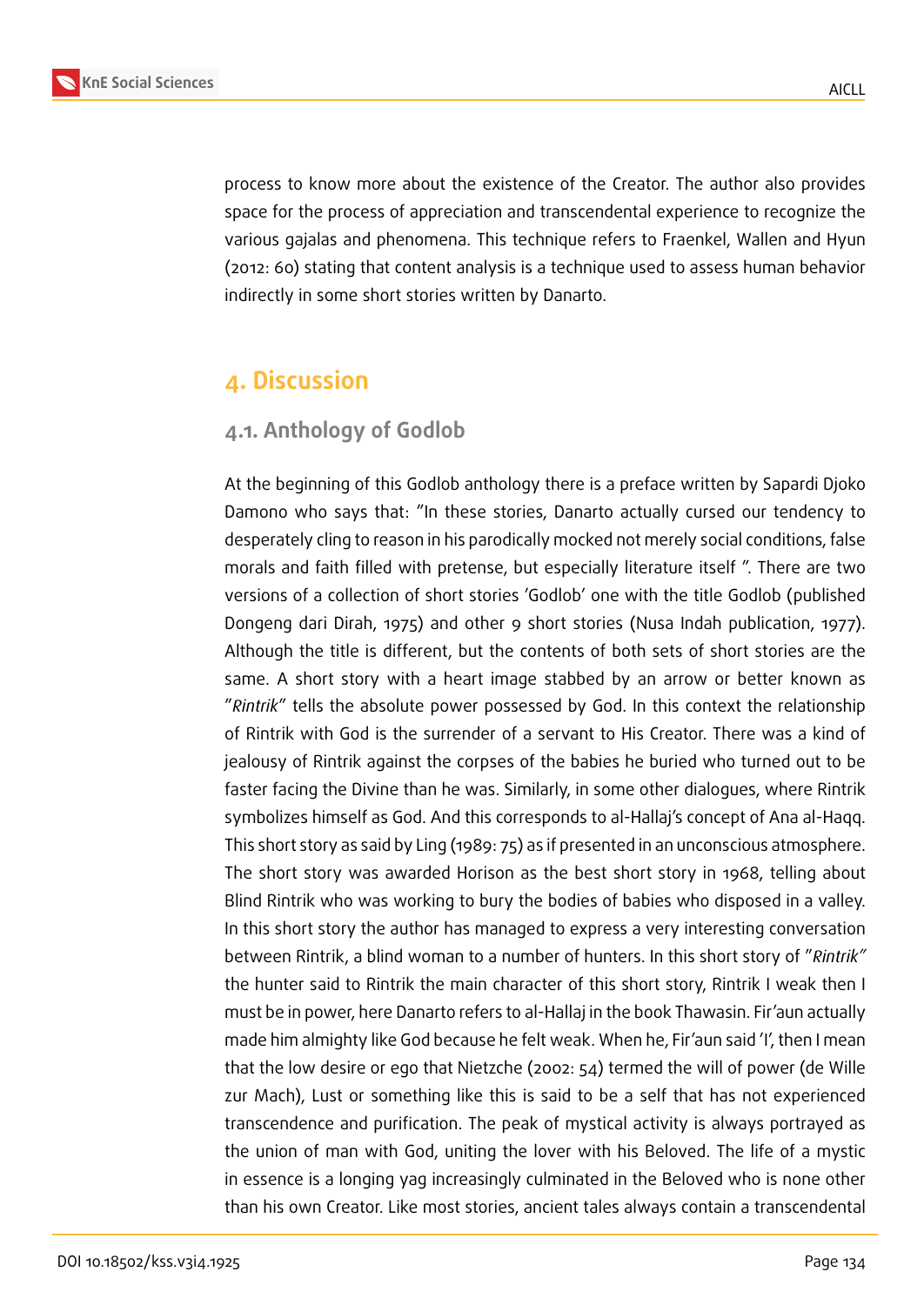

process to know more about the existence of the Creator. The author also provides space for the process of appreciation and transcendental experience to recognize the various gajalas and phenomena. This technique refers to Fraenkel, Wallen and Hyun (2012: 60) stating that content analysis is a technique used to assess human behavior indirectly in some short stories written by Danarto.

# **4. Discussion**

#### **4.1. Anthology of Godlob**

At the beginning of this Godlob anthology there is a preface written by Sapardi Djoko Damono who says that: "In these stories, Danarto actually cursed our tendency to desperately cling to reason in his parodically mocked not merely social conditions, false morals and faith filled with pretense, but especially literature itself ". There are two versions of a collection of short stories 'Godlob' one with the title Godlob (published Dongeng dari Dirah, 1975) and other 9 short stories (Nusa Indah publication, 1977). Although the title is different, but the contents of both sets of short stories are the same. A short story with a heart image stabbed by an arrow or better known as "*Rintrik*" tells the absolute power possessed by God. In this context the relationship of Rintrik with God is the surrender of a servant to His Creator. There was a kind of jealousy of Rintrik against the corpses of the babies he buried who turned out to be faster facing the Divine than he was. Similarly, in some other dialogues, where Rintrik symbolizes himself as God. And this corresponds to al-Hallaj's concept of Ana al-Haqq. This short story as said by Ling (1989: 75) as if presented in an unconscious atmosphere. The short story was awarded Horison as the best short story in 1968, telling about Blind Rintrik who was working to bury the bodies of babies who disposed in a valley. In this short story the author has managed to express a very interesting conversation between Rintrik, a blind woman to a number of hunters. In this short story of "*Rintrik"* the hunter said to Rintrik the main character of this short story, Rintrik I weak then I must be in power, here Danarto refers to al-Hallaj in the book Thawasin. Fir'aun actually made him almighty like God because he felt weak. When he, Fir'aun said 'I', then I mean that the low desire or ego that Nietzche (2002: 54) termed the will of power (de Wille zur Mach), Lust or something like this is said to be a self that has not experienced transcendence and purification. The peak of mystical activity is always portrayed as the union of man with God, uniting the lover with his Beloved. The life of a mystic in essence is a longing yag increasingly culminated in the Beloved who is none other than his own Creator. Like most stories, ancient tales always contain a transcendental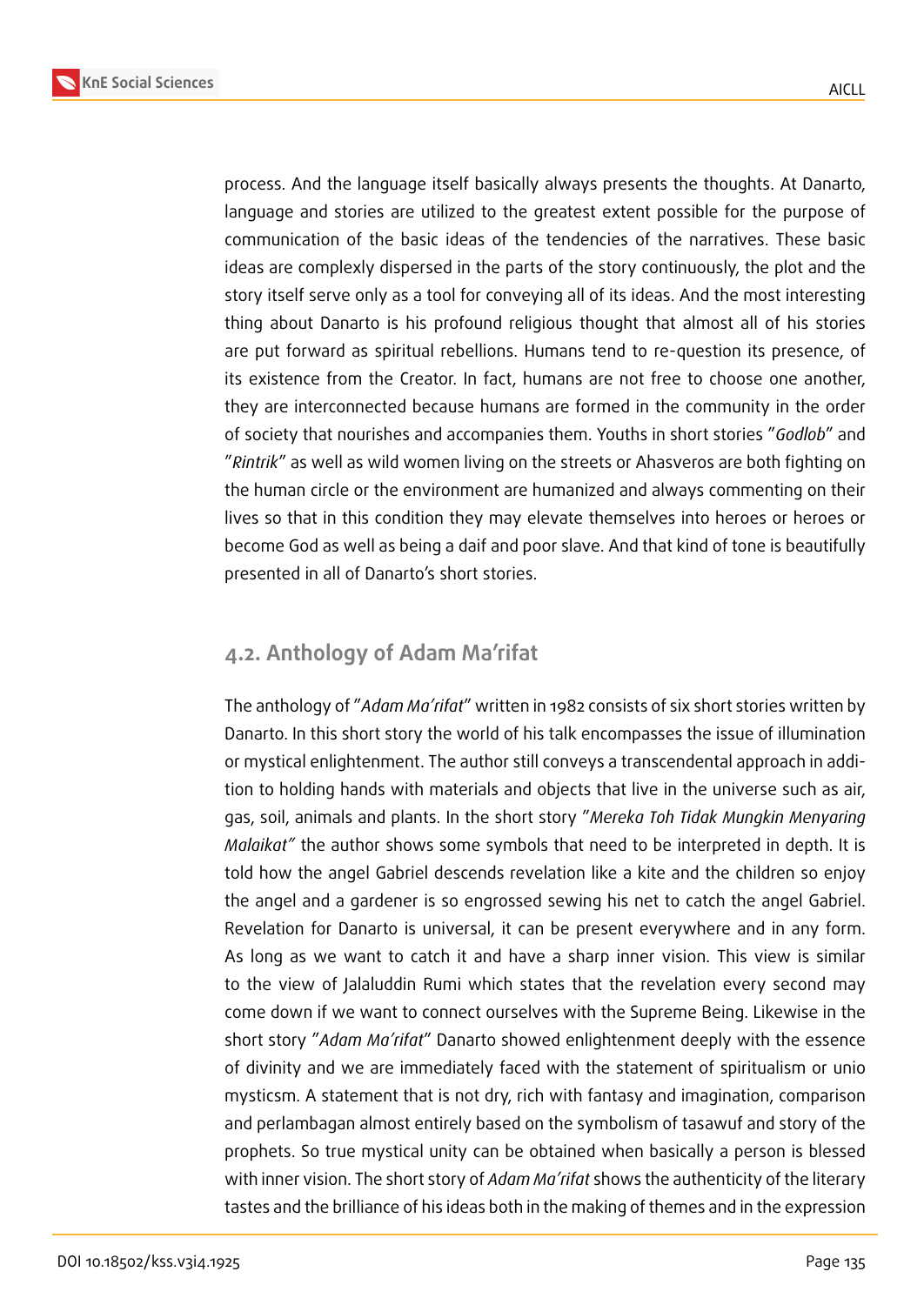process. And the language itself basically always presents the thoughts. At Danarto, language and stories are utilized to the greatest extent possible for the purpose of communication of the basic ideas of the tendencies of the narratives. These basic ideas are complexly dispersed in the parts of the story continuously, the plot and the story itself serve only as a tool for conveying all of its ideas. And the most interesting thing about Danarto is his profound religious thought that almost all of his stories are put forward as spiritual rebellions. Humans tend to re-question its presence, of its existence from the Creator. In fact, humans are not free to choose one another, they are interconnected because humans are formed in the community in the order of society that nourishes and accompanies them. Youths in short stories "*Godlob*" and "*Rintrik*" as well as wild women living on the streets or Ahasveros are both fighting on the human circle or the environment are humanized and always commenting on their lives so that in this condition they may elevate themselves into heroes or heroes or become God as well as being a daif and poor slave. And that kind of tone is beautifully presented in all of Danarto's short stories.

#### **4.2. Anthology of Adam Ma'rifat**

The anthology of "*Adam Ma'rifat*" written in 1982 consists of six short stories written by Danarto. In this short story the world of his talk encompasses the issue of illumination or mystical enlightenment. The author still conveys a transcendental approach in addition to holding hands with materials and objects that live in the universe such as air, gas, soil, animals and plants. In the short story "*Mereka Toh Tidak Mungkin Menyaring Malaikat"* the author shows some symbols that need to be interpreted in depth. It is told how the angel Gabriel descends revelation like a kite and the children so enjoy the angel and a gardener is so engrossed sewing his net to catch the angel Gabriel. Revelation for Danarto is universal, it can be present everywhere and in any form. As long as we want to catch it and have a sharp inner vision. This view is similar to the view of Jalaluddin Rumi which states that the revelation every second may come down if we want to connect ourselves with the Supreme Being. Likewise in the short story "*Adam Ma'rifat*" Danarto showed enlightenment deeply with the essence of divinity and we are immediately faced with the statement of spiritualism or unio mysticsm. A statement that is not dry, rich with fantasy and imagination, comparison and perlambagan almost entirely based on the symbolism of tasawuf and story of the prophets. So true mystical unity can be obtained when basically a person is blessed with inner vision. The short story of *Adam Ma'rifat* shows the authenticity of the literary tastes and the brilliance of his ideas both in the making of themes and in the expression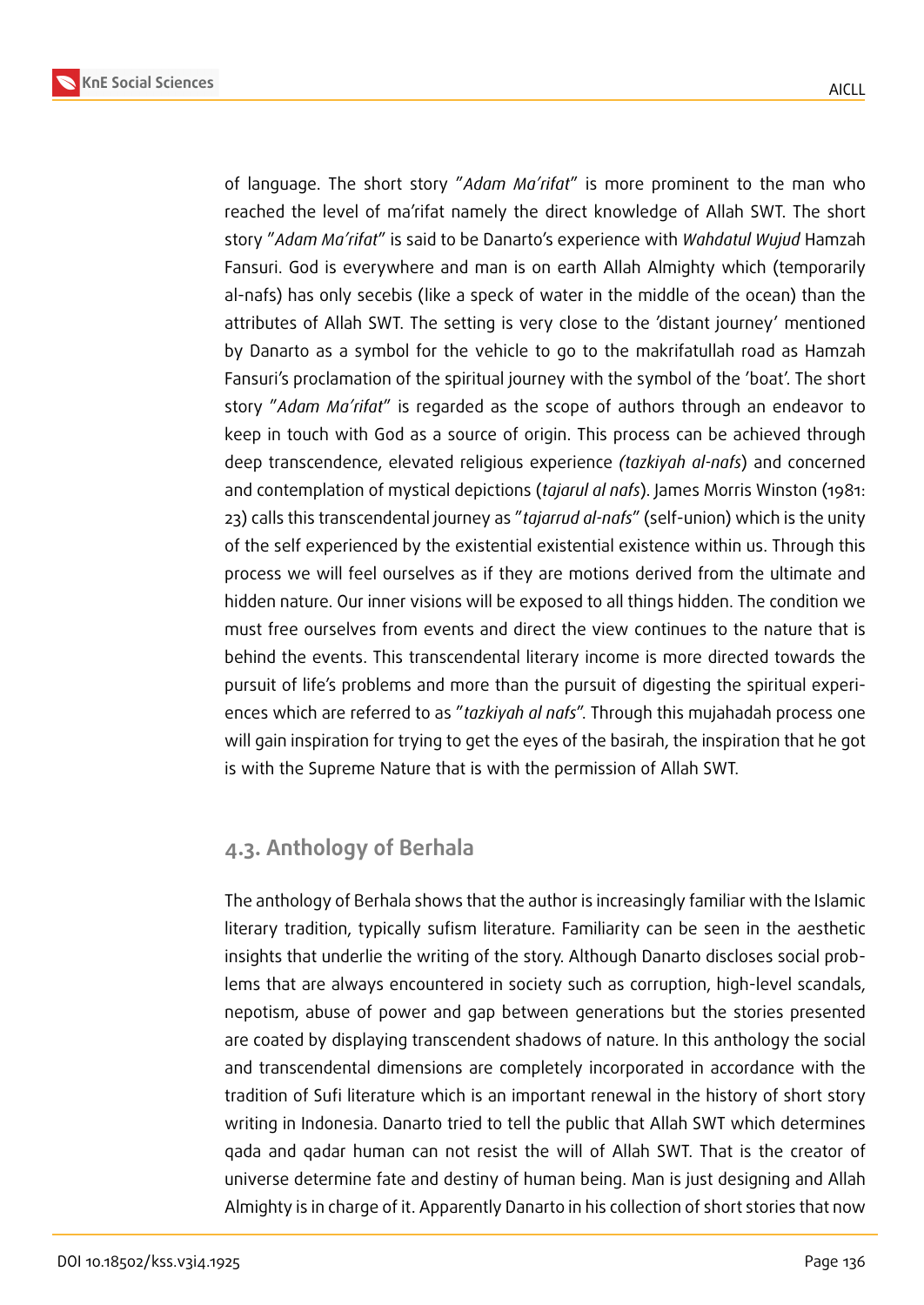of language. The short story "*Adam Ma'rifat*" is more prominent to the man who reached the level of ma'rifat namely the direct knowledge of Allah SWT. The short story "*Adam Ma'rifat*" is said to be Danarto's experience with *Wahdatul Wujud* Hamzah Fansuri. God is everywhere and man is on earth Allah Almighty which (temporarily al-nafs) has only secebis (like a speck of water in the middle of the ocean) than the attributes of Allah SWT. The setting is very close to the 'distant journey' mentioned by Danarto as a symbol for the vehicle to go to the makrifatullah road as Hamzah Fansuri's proclamation of the spiritual journey with the symbol of the 'boat'. The short story "*Adam Ma'rifat*" is regarded as the scope of authors through an endeavor to keep in touch with God as a source of origin. This process can be achieved through deep transcendence, elevated religious experience *(tazkiyah al-nafs*) and concerned and contemplation of mystical depictions (*tajarul al nafs*). James Morris Winston (1981: 23) calls this transcendental journey as "*tajarrud al-nafs*" (self-union) which is the unity of the self experienced by the existential existential existence within us. Through this process we will feel ourselves as if they are motions derived from the ultimate and hidden nature. Our inner visions will be exposed to all things hidden. The condition we must free ourselves from events and direct the view continues to the nature that is behind the events. This transcendental literary income is more directed towards the pursuit of life's problems and more than the pursuit of digesting the spiritual experiences which are referred to as "*tazkiyah al nafs*". Through this mujahadah process one will gain inspiration for trying to get the eyes of the basirah, the inspiration that he got is with the Supreme Nature that is with the permission of Allah SWT.

### **4.3. Anthology of Berhala**

The anthology of Berhala shows that the author is increasingly familiar with the Islamic literary tradition, typically sufism literature. Familiarity can be seen in the aesthetic insights that underlie the writing of the story. Although Danarto discloses social problems that are always encountered in society such as corruption, high-level scandals, nepotism, abuse of power and gap between generations but the stories presented are coated by displaying transcendent shadows of nature. In this anthology the social and transcendental dimensions are completely incorporated in accordance with the tradition of Sufi literature which is an important renewal in the history of short story writing in Indonesia. Danarto tried to tell the public that Allah SWT which determines qada and qadar human can not resist the will of Allah SWT. That is the creator of universe determine fate and destiny of human being. Man is just designing and Allah Almighty is in charge of it. Apparently Danarto in his collection of short stories that now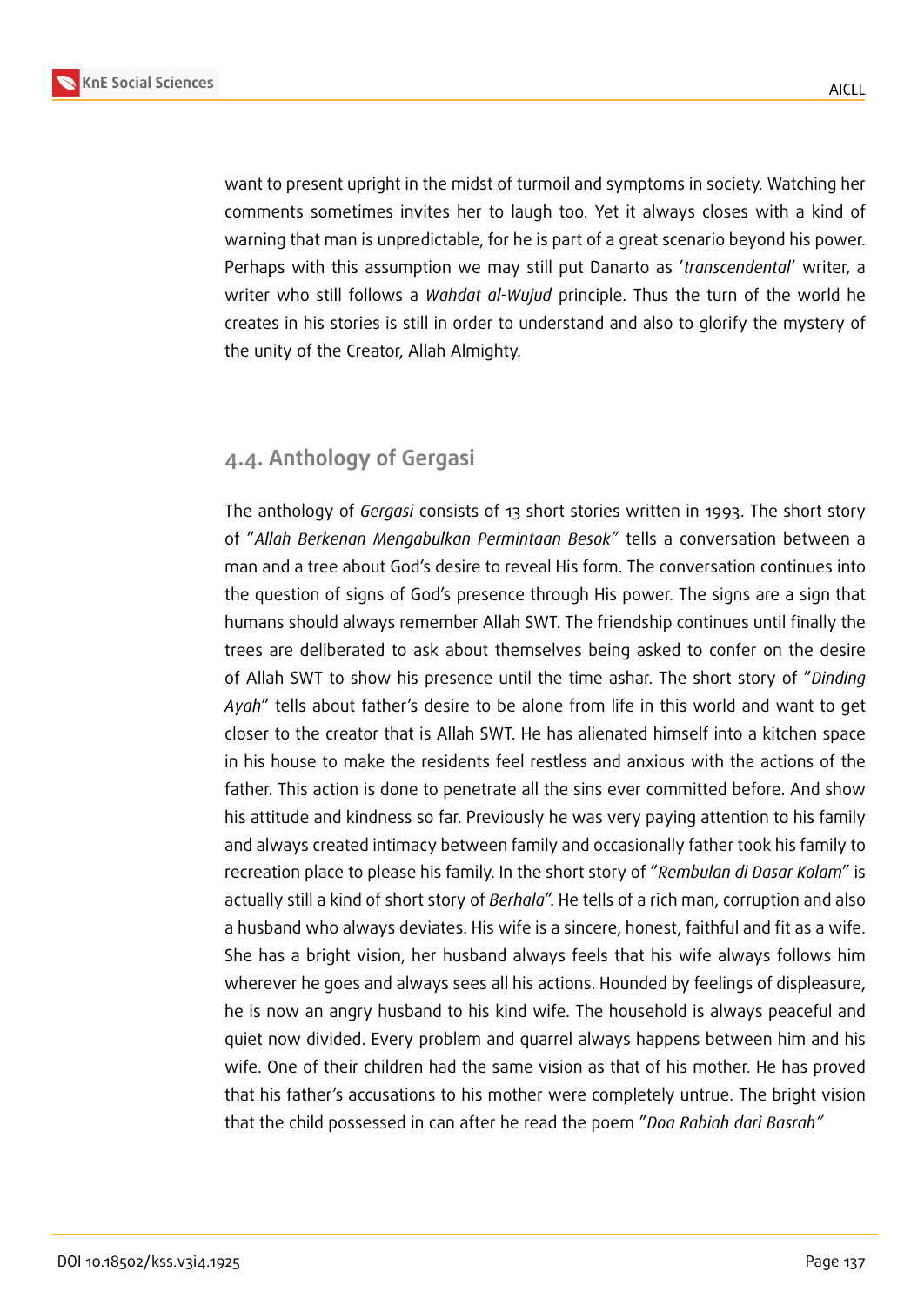

want to present upright in the midst of turmoil and symptoms in society. Watching her comments sometimes invites her to laugh too. Yet it always closes with a kind of warning that man is unpredictable, for he is part of a great scenario beyond his power. Perhaps with this assumption we may still put Danarto as '*transcendental*' writer, a writer who still follows a *Wahdat al-Wujud* principle. Thus the turn of the world he creates in his stories is still in order to understand and also to glorify the mystery of the unity of the Creator, Allah Almighty.

### **4.4. Anthology of Gergasi**

The anthology of *Gergasi* consists of 13 short stories written in 1993. The short story of "*Allah Berkenan Mengabulkan Permintaan Besok"* tells a conversation between a man and a tree about God's desire to reveal His form. The conversation continues into the question of signs of God's presence through His power. The signs are a sign that humans should always remember Allah SWT. The friendship continues until finally the trees are deliberated to ask about themselves being asked to confer on the desire of Allah SWT to show his presence until the time ashar. The short story of "*Dinding Ayah*" tells about father's desire to be alone from life in this world and want to get closer to the creator that is Allah SWT. He has alienated himself into a kitchen space in his house to make the residents feel restless and anxious with the actions of the father. This action is done to penetrate all the sins ever committed before. And show his attitude and kindness so far. Previously he was very paying attention to his family and always created intimacy between family and occasionally father took his family to recreation place to please his family. In the short story of "*Rembulan di Dasar Kolam*" is actually still a kind of short story of *Berhala*". He tells of a rich man, corruption and also a husband who always deviates. His wife is a sincere, honest, faithful and fit as a wife. She has a bright vision, her husband always feels that his wife always follows him wherever he goes and always sees all his actions. Hounded by feelings of displeasure, he is now an angry husband to his kind wife. The household is always peaceful and quiet now divided. Every problem and quarrel always happens between him and his wife. One of their children had the same vision as that of his mother. He has proved that his father's accusations to his mother were completely untrue. The bright vision that the child possessed in can after he read the poem "*Doa Rabiah dari Basrah"*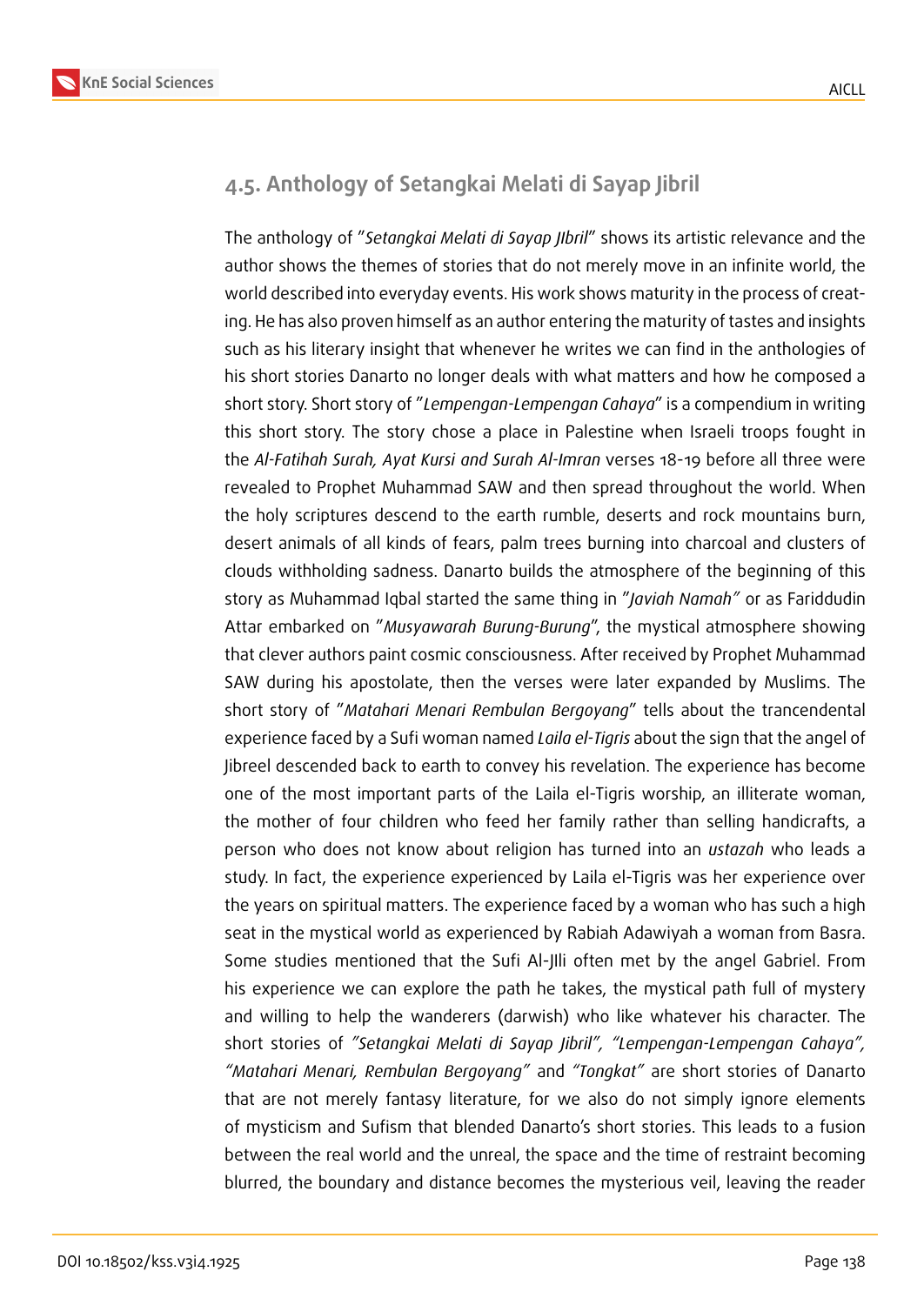

### **4.5. Anthology of Setangkai Melati di Sayap Jibril**

The anthology of "*Setangkai Melati di Sayap JIbril*" shows its artistic relevance and the author shows the themes of stories that do not merely move in an infinite world, the world described into everyday events. His work shows maturity in the process of creating. He has also proven himself as an author entering the maturity of tastes and insights such as his literary insight that whenever he writes we can find in the anthologies of his short stories Danarto no longer deals with what matters and how he composed a short story. Short story of "*Lempengan-Lempengan Cahaya*" is a compendium in writing this short story. The story chose a place in Palestine when Israeli troops fought in the *Al-Fatihah Surah, Ayat Kursi and Surah Al-Imran* verses 18-19 before all three were revealed to Prophet Muhammad SAW and then spread throughout the world. When the holy scriptures descend to the earth rumble, deserts and rock mountains burn, desert animals of all kinds of fears, palm trees burning into charcoal and clusters of clouds withholding sadness. Danarto builds the atmosphere of the beginning of this story as Muhammad Iqbal started the same thing in "*Javiah Namah"* or as Fariddudin Attar embarked on "*Musyawarah Burung-Burung*", the mystical atmosphere showing that clever authors paint cosmic consciousness. After received by Prophet Muhammad SAW during his apostolate, then the verses were later expanded by Muslims. The short story of "*Matahari Menari Rembulan Bergoyang*" tells about the trancendental experience faced by a Sufi woman named *Laila el-Tigris* about the sign that the angel of Jibreel descended back to earth to convey his revelation. The experience has become one of the most important parts of the Laila el-Tigris worship, an illiterate woman, the mother of four children who feed her family rather than selling handicrafts, a person who does not know about religion has turned into an *ustazah* who leads a study. In fact, the experience experienced by Laila el-Tigris was her experience over the years on spiritual matters. The experience faced by a woman who has such a high seat in the mystical world as experienced by Rabiah Adawiyah a woman from Basra. Some studies mentioned that the Sufi Al-JIli often met by the angel Gabriel. From his experience we can explore the path he takes, the mystical path full of mystery and willing to help the wanderers (darwish) who like whatever his character. The short stories of *"Setangkai Melati di Sayap Jibril", "Lempengan-Lempengan Cahaya", "Matahari Menari, Rembulan Bergoyang"* and *"Tongkat"* are short stories of Danarto that are not merely fantasy literature, for we also do not simply ignore elements of mysticism and Sufism that blended Danarto's short stories. This leads to a fusion between the real world and the unreal, the space and the time of restraint becoming blurred, the boundary and distance becomes the mysterious veil, leaving the reader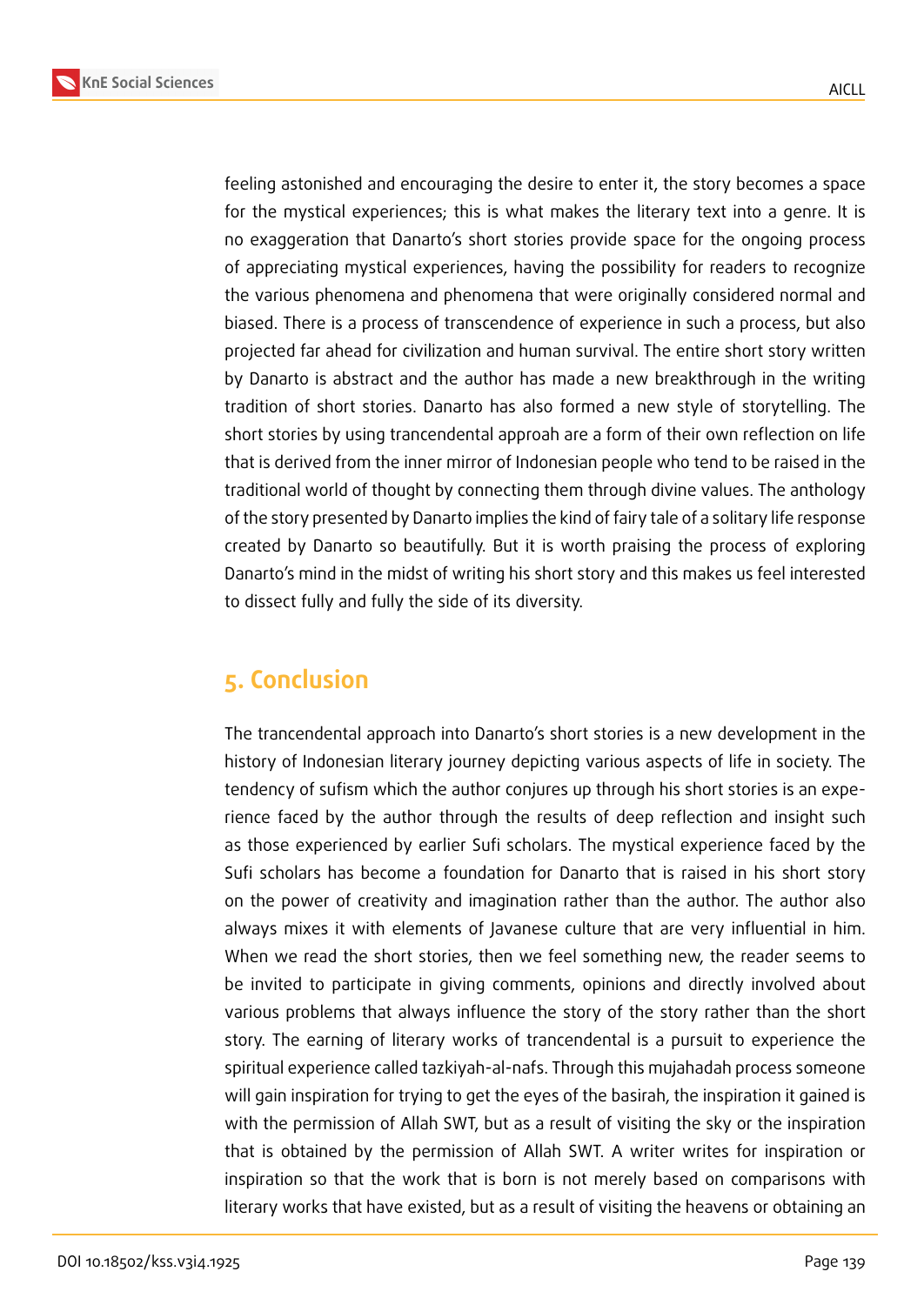

feeling astonished and encouraging the desire to enter it, the story becomes a space for the mystical experiences; this is what makes the literary text into a genre. It is no exaggeration that Danarto's short stories provide space for the ongoing process of appreciating mystical experiences, having the possibility for readers to recognize the various phenomena and phenomena that were originally considered normal and biased. There is a process of transcendence of experience in such a process, but also projected far ahead for civilization and human survival. The entire short story written by Danarto is abstract and the author has made a new breakthrough in the writing tradition of short stories. Danarto has also formed a new style of storytelling. The short stories by using trancendental approah are a form of their own reflection on life that is derived from the inner mirror of Indonesian people who tend to be raised in the traditional world of thought by connecting them through divine values. The anthology of the story presented by Danarto implies the kind of fairy tale of a solitary life response created by Danarto so beautifully. But it is worth praising the process of exploring Danarto's mind in the midst of writing his short story and this makes us feel interested to dissect fully and fully the side of its diversity.

# **5. Conclusion**

The trancendental approach into Danarto's short stories is a new development in the history of Indonesian literary journey depicting various aspects of life in society. The tendency of sufism which the author conjures up through his short stories is an experience faced by the author through the results of deep reflection and insight such as those experienced by earlier Sufi scholars. The mystical experience faced by the Sufi scholars has become a foundation for Danarto that is raised in his short story on the power of creativity and imagination rather than the author. The author also always mixes it with elements of Javanese culture that are very influential in him. When we read the short stories, then we feel something new, the reader seems to be invited to participate in giving comments, opinions and directly involved about various problems that always influence the story of the story rather than the short story. The earning of literary works of trancendental is a pursuit to experience the spiritual experience called tazkiyah-al-nafs. Through this mujahadah process someone will gain inspiration for trying to get the eyes of the basirah, the inspiration it gained is with the permission of Allah SWT, but as a result of visiting the sky or the inspiration that is obtained by the permission of Allah SWT. A writer writes for inspiration or inspiration so that the work that is born is not merely based on comparisons with literary works that have existed, but as a result of visiting the heavens or obtaining an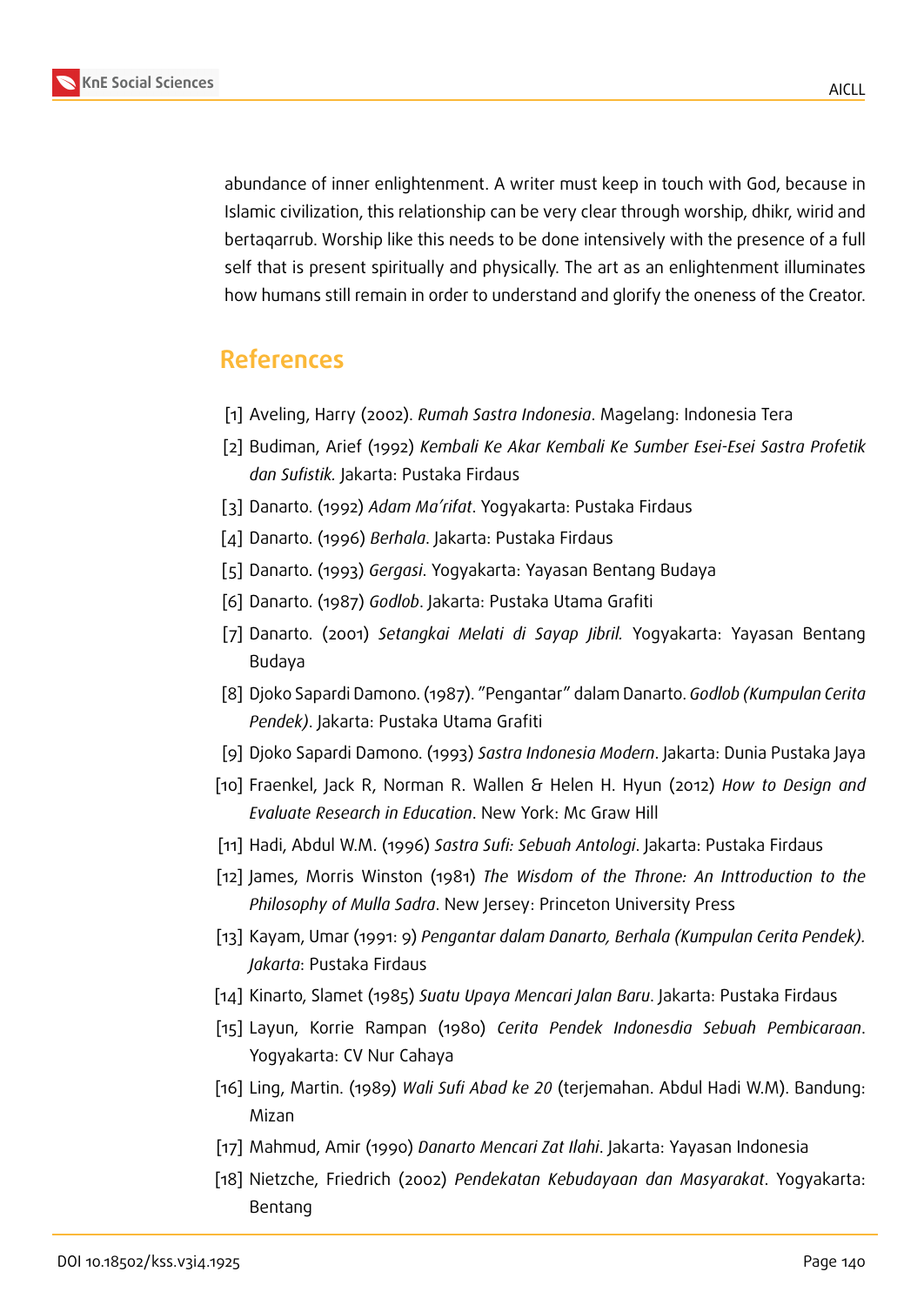

**KnE Social Sciences**

abundance of inner enlightenment. A writer must keep in touch with God, because in Islamic civilization, this relationship can be very clear through worship, dhikr, wirid and bertaqarrub. Worship like this needs to be done intensively with the presence of a full self that is present spiritually and physically. The art as an enlightenment illuminates how humans still remain in order to understand and glorify the oneness of the Creator.

# **References**

- [1] Aveling, Harry (2002). *Rumah Sastra Indonesia*. Magelang: Indonesia Tera
- [2] Budiman, Arief (1992) *Kembali Ke Akar Kembali Ke Sumber Esei-Esei Sastra Profetik dan Sufistik.* Jakarta: Pustaka Firdaus
- [3] Danarto. (1992) *Adam Ma'rifat*. Yogyakarta: Pustaka Firdaus
- [4] Danarto. (1996) *Berhala*. Jakarta: Pustaka Firdaus
- [5] Danarto. (1993) *Gergasi*. Yogyakarta: Yayasan Bentang Budaya
- [6] Danarto. (1987) *Godlob*. Jakarta: Pustaka Utama Grafiti
- [7] Danarto. (2001) *Setangkai Melati di Sayap Jibril.* Yogyakarta: Yayasan Bentang Budaya
- [8] Djoko Sapardi Damono. (1987). "Pengantar" dalam Danarto. *Godlob (Kumpulan Cerita Pendek)*. Jakarta: Pustaka Utama Grafiti
- [9] Djoko Sapardi Damono. (1993) *Sastra Indonesia Modern*. Jakarta: Dunia Pustaka Jaya
- [10] Fraenkel, Jack R, Norman R. Wallen & Helen H. Hyun (2012) *How to Design and Evaluate Research in Education*. New York: Mc Graw Hill
- [11] Hadi, Abdul W.M. (1996) *Sastra Sufi: Sebuah Antologi*. Jakarta: Pustaka Firdaus
- [12] James, Morris Winston (1981) *The Wisdom of the Throne: An Inttroduction to the Philosophy of Mulla Sadra*. New Jersey: Princeton University Press
- [13] Kayam, Umar (1991: 9) *Pengantar dalam Danarto, Berhala (Kumpulan Cerita Pendek). Jakarta*: Pustaka Firdaus
- [14] Kinarto, Slamet (1985) *Suatu Upaya Mencari Jalan Baru*. Jakarta: Pustaka Firdaus
- [15] Layun, Korrie Rampan (1980) *Cerita Pendek Indonesdia Sebuah Pembicaraan*. Yogyakarta: CV Nur Cahaya
- [16] Ling, Martin. (1989) *Wali Sufi Abad ke 20* (terjemahan. Abdul Hadi W.M). Bandung: Mizan
- [17] Mahmud, Amir (1990) *Danarto Mencari Zat Ilahi*. Jakarta: Yayasan Indonesia
- [18] Nietzche, Friedrich (2002) *Pendekatan Kebudayaan dan Masyarakat*. Yogyakarta: Bentang